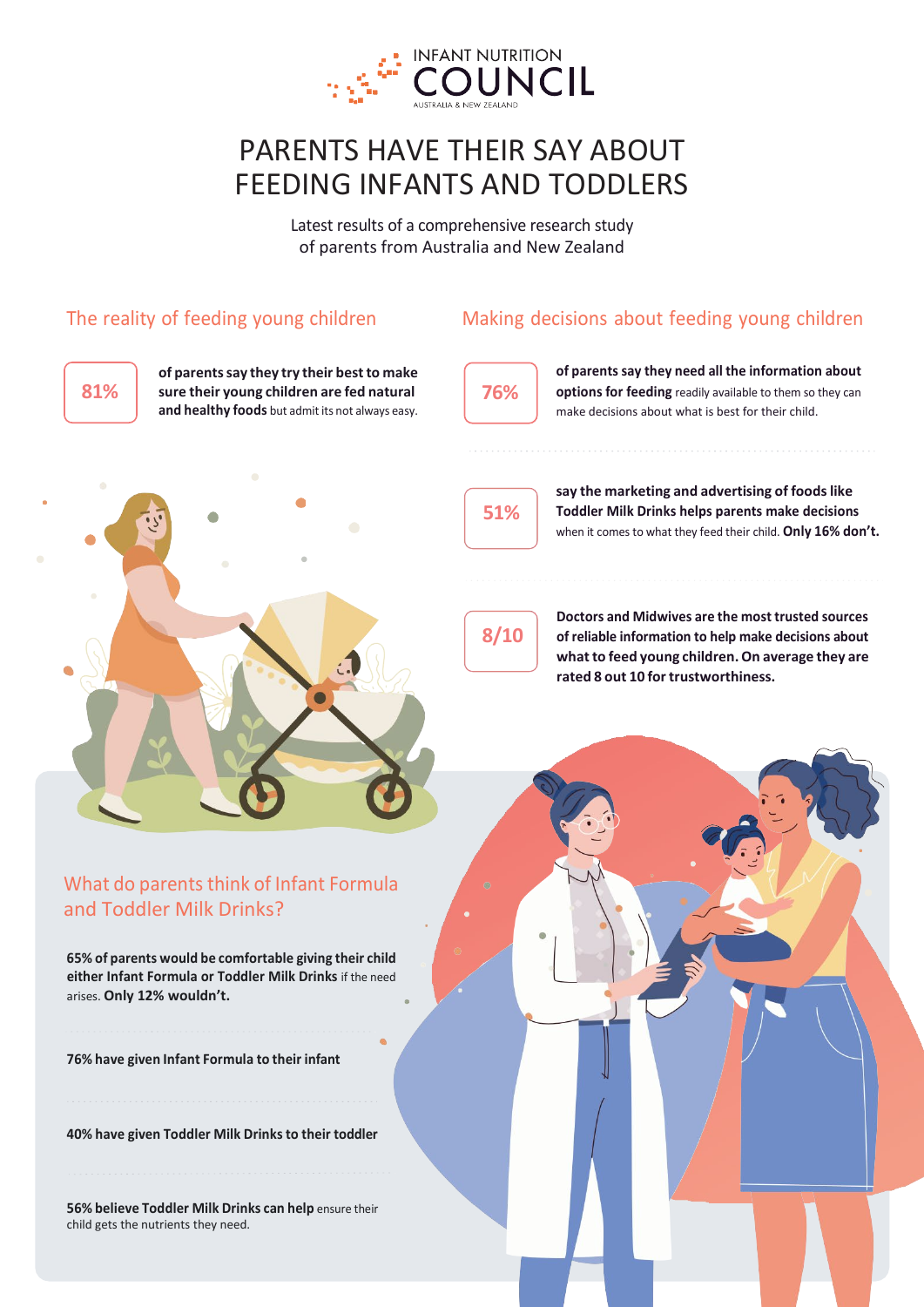

# PARENTS HAVE THEIR SAY ABOUT FEEDING INFANTS AND TODDLERS

Latest results of a comprehensive research study of parents from Australia and New Zealand

#### The reality of feeding young children

Making decisions about feeding young children



**of parentssay they try their bestto make sure their young children are fed natural 81% 76%and healthy foods** but admit its not always easy.



**51%**

**options for feeding** readily available to them so they can make decisions about what is best for their child.

**say the marketing and advertising of foodslike Toddler Milk Drinks helps parents make decisions** 

**of parents say they need all the information about** 



when it comes to what they feed their child. **Only 16% don't.**



**Doctors and Midwives are the most trusted sources of reliable information to help make decisions about whatto feed young children.On average they are rated 8 out 10 fortrustworthiness.**

#### What do parents think of Infant Formula and Toddler Milk Drinks?

**65% of parents would be comfortable giving their child either Infant Formula or Toddler Milk Drinks** if the need arises. **Only 12% wouldn't.**

**76% have given Infant Formula to their infant**

**40% have given Toddler Milk Drinks to their toddler**

**56% believe Toddler Milk Drinks can help** ensure their child gets the nutrients they need.